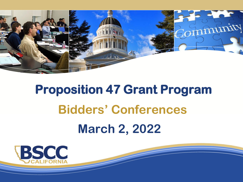

# **Proposition 47 Grant Program Bidders' Conferences March 2, 2022**

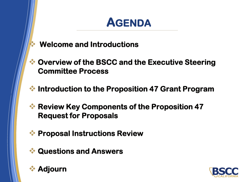

- ❖ **Welcome and Introductions**
- ❖ **Overview of the BSCC and the Executive Steering Committee Process**
- ❖ **Introduction to the Proposition 47 Grant Program**
- ❖ **Review Key Components of the Proposition 47 Request for Proposals**
- ❖ **Proposal Instructions Review**
- ❖ **Questions and Answers**



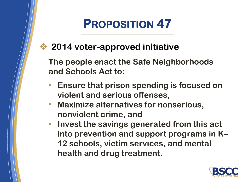# **PROPOSITION 47**

❖ **2014 voter-approved initiative**

**The people enact the Safe Neighborhoods and Schools Act to:** 

- **Ensure that prison spending is focused on violent and serious offenses,**
- **Maximize alternatives for nonserious, nonviolent crime, and**
- **Invest the savings generated from this act into prevention and support programs in K– 12 schools, victim services, and mental health and drug treatment.**

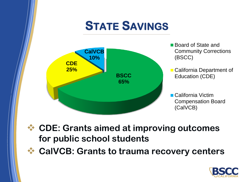## **STATE SAVINGS**



- Board of State and Community Corrections (BSCC)
- California Department of Education (CDE)

California Victim Compensation Board (CalVCB)

- ❖ **CDE: Grants aimed at improving outcomes for public school students**
- ❖ **CalVCB: Grants to trauma recovery centers**

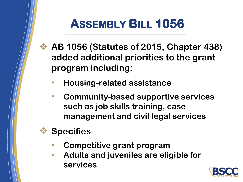## **ASSEMBLY BILL 1056**

- ❖ **AB 1056 (Statutes of 2015, Chapter 438) added additional priorities to the grant program including:**
	- **Housing-related assistance**
	- **Community-based supportive services such as job skills training, case management and civil legal services**

## ❖ **Specifies**

- **Competitive grant program**
- **Adults and juveniles are eligible for services**

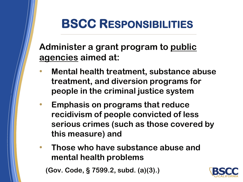

## **BSCC RESPONSIBILITIES**

**Administer a grant program to public agencies aimed at:**

- **Mental health treatment, substance abuse treatment, and diversion programs for people in the criminal justice system**
- **Emphasis on programs that reduce recidivism of people convicted of less serious crimes (such as those covered by this measure) and**
- **Those who have substance abuse and mental health problems**

**(Gov. Code, § 7599.2, subd. (a)(3).)**

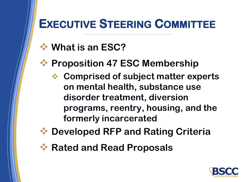## **EXECUTIVE STEERING COMMITTEE**

- ❖ **What is an ESC?**
	- ❖ **Proposition 47 ESC Membership**
		- ❖ **Comprised of subject matter experts on mental health, substance use disorder treatment, diversion programs, reentry, housing, and the formerly incarcerated**
- ❖ **Developed RFP and Rating Criteria**
- ❖ **Rated and Read Proposals**

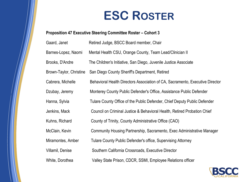## **ESC ROSTER**

#### **Proposition 47 Executive Steering Committee Roster – Cohort 3**

| Retired Judge, BSCC Board member, Chair                                       |
|-------------------------------------------------------------------------------|
| Mental Health CSU, Orange County, Team Lead/Clinician II                      |
| The Children's Initiative, San Diego, Juvenile Justice Associate              |
| San Diego County Sheriff's Department, Retired                                |
| Behavioral Health Directors Association of CA, Sacramento, Executive Director |
| Monterey County Public Defender's Office, Assistance Public Defender          |
| Tulare County Office of the Public Defender, Chief Deputy Public Defender     |
| Council on Criminal Justice & Behavioral Health, Retired Probation Chief      |
| County of Trinity, County Administrative Office (CAO)                         |
| Community Housing Partnership, Sacramento, Exec Administrative Manager        |
| Tulare County Public Defender's office, Supervising Attorney                  |
| Southern California Crossroads, Executive Director                            |
| Valley State Prison, CDCR, SSMI, Employee Relations officer                   |
|                                                                               |

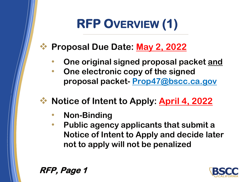# **RFP OVERVIEW (1)**

### ❖ **Proposal Due Date: May 2, 2022**

- **One original signed proposal packet and**
- **One electronic copy of the signed proposal packet- Prop47@bscc.ca.gov**
- ❖ **Notice of Intent to Apply: April 4, 2022**
	- **Non-Binding**
	- **Public agency applicants that submit a Notice of Intent to Apply and decide later not to apply will not be penalized**



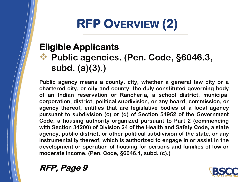# **RFP OVERVIEW (2)**

## **Eligible Applicants**

### ❖ **Public agencies. (Pen. Code, §6046.3, subd. (a)(3).)**

**Public agency means a county, city, whether a general law city or a chartered city, or city and county, the duly constituted governing body of an Indian reservation or Rancheria, a school district, municipal corporation, district, political subdivision, or any board, commission, or agency thereof, entities that are legislative bodies of a local agency pursuant to subdivision (c) or (d) of Section 54952 of the Government Code, a housing authority organized pursuant to Part 2 (commencing with Section 34200) of Division 24 of the Health and Safety Code, a state agency, public district, or other political subdivision of the state, or any instrumentality thereof, which is authorized to engage in or assist in the development or operation of housing for persons and families of low or moderate income. (Pen. Code, §6046.1, subd. (c).)**



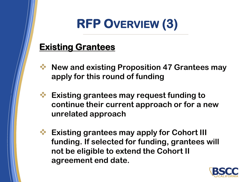# **RFP OVERVIEW (3)**

### **Existing Grantees**

- ❖ **New and existing Proposition 47 Grantees may apply for this round of funding**
	- ❖ **Existing grantees may request funding to continue their current approach or for a new unrelated approach**
	- **Existing grantees may apply for Cohort III funding. If selected for funding, grantees will not be eligible to extend the Cohort II agreement end date.**

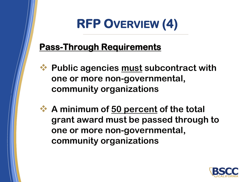# **RFP OVERVIEW (4)**

### **Pass-Through Requirements**

- ❖ **Public agencies must subcontract with one or more non-governmental, community organizations**
- ❖ **A minimum of 50 percent of the total grant award must be passed through to one or more non-governmental, community organizations**

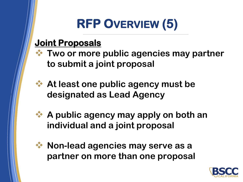# **RFP OVERVIEW (5)**

#### **Joint Proposals**

- ❖ **Two or more public agencies may partner to submit a joint proposal**
- ❖ **At least one public agency must be designated as Lead Agency**
- ❖ **A public agency may apply on both an individual and a joint proposal**
- 
- ❖ **Non-lead agencies may serve as a partner on more than one proposal**

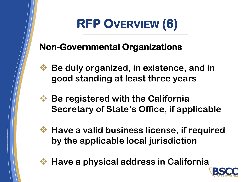# **RFP OVERVIEW (6)**

## **Non-Governmental Organizations**

- ❖ **Be duly organized, in existence, and in good standing at least three years**
- ❖ **Be registered with the California Secretary of State's Office, if applicable**
- - ❖ **Have a valid business license, if required by the applicable local jurisdiction**



❖ **Have a physical address in California**

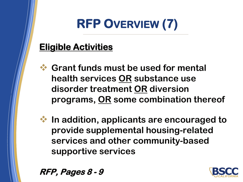# **RFP OVERVIEW (7)**

## **Eligible Activities**

- ❖ **Grant funds must be used for mental health services OR substance use disorder treatment OR diversion programs, OR some combination thereof**
- ❖ **In addition, applicants are encouraged to provide supplemental housing-related services and other community-based supportive services**

**RFP, Pages 8 - 9**

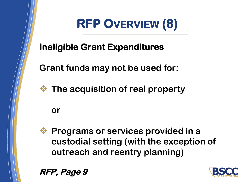

### **Ineligible Grant Expenditures**

**Grant funds may not be used for:**

❖ **The acquisition of real property** 

#### **or**

❖ **Programs or services provided in a custodial setting (with the exception of outreach and reentry planning)** 

**RFP, Page 9**

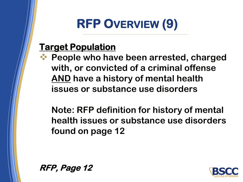# **RFP OVERVIEW (9)**

## **Target Population**

❖ **People who have been arrested, charged with, or convicted of a criminal offense AND have a history of mental health issues or substance use disorders** 

**Note: RFP definition for history of mental health issues or substance use disorders found on page 12**

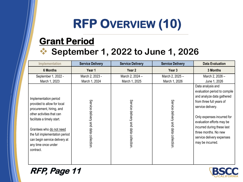# **RFP OVERVIEW (10)**

## **Grant Period** ❖ **September 1, 2022 to June 1, 2026**

| <b>Implementation</b>                                                                                                                                                                                                                                                          | <b>Service Delivery</b>              | <b>Service Delivery</b>              | <b>Service Delivery</b>              | <b>Data Evaluation</b>                                                                                                                                                                                                                                                                            |
|--------------------------------------------------------------------------------------------------------------------------------------------------------------------------------------------------------------------------------------------------------------------------------|--------------------------------------|--------------------------------------|--------------------------------------|---------------------------------------------------------------------------------------------------------------------------------------------------------------------------------------------------------------------------------------------------------------------------------------------------|
| <b>6 Months</b>                                                                                                                                                                                                                                                                | Year 1                               | Year <sub>2</sub>                    | Year 3                               | 3 Months                                                                                                                                                                                                                                                                                          |
| September 1, 2022 -<br>March 1, 2023                                                                                                                                                                                                                                           | March 2, 2023 -<br>March 1, 2024     | March 2, 2024 -<br>March 1, 2025     | March 2, 2025 -<br>March 1, 2026     | March 2, 2026 -<br>June 1, 2026                                                                                                                                                                                                                                                                   |
| Implementation period<br>provided to allow for local<br>procurement, hiring, and<br>other activities that can<br>facilitate a timely start.<br>Grantees who do not need<br>the full implementation period<br>can begin service delivery at<br>any time once under<br>contract. | Service delivery and data collection | Service delivery and data collection | Service delivery and data collection | Data analysis and<br>evaluation period to compile<br>and analyze data gathered<br>from three full years of<br>service delivery.<br>Only expenses incurred for<br>evaluation efforts may be<br>incurred during these last<br>three months. No new<br>service delivery expenses<br>may be incurred. |

#### **RFP, Page 11**

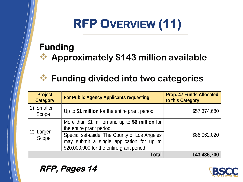# **RFP OVERVIEW (11)**

## **Funding**

❖ **Approximately \$143 million available** 

#### ❖ **Funding divided into two categories**

| <b>Project</b><br><b>Category</b> | <b>For Public Agency Applicants requesting:</b>                                                                                                                                                                       | <b>Prop. 47 Funds Allocated</b><br>to this Category |
|-----------------------------------|-----------------------------------------------------------------------------------------------------------------------------------------------------------------------------------------------------------------------|-----------------------------------------------------|
| <b>Smaller</b><br>Scope           | Up to \$1 million for the entire grant period                                                                                                                                                                         | \$57,374,680                                        |
| Larger<br>Scope                   | More than \$1 million and up to \$6 million for<br>the entire grant period.<br>Special set-aside: The County of Los Angeles<br>may submit a single application for up to<br>\$20,000,000 for the entire grant period. | \$86,062,020                                        |
|                                   | Total                                                                                                                                                                                                                 | 143,436,700                                         |

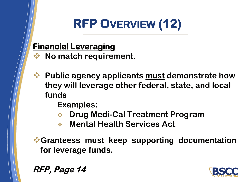# **RFP OVERVIEW (12)**

#### **Financial Leveraging**

- ❖ **No match requirement.**
- ❖ **Public agency applicants must demonstrate how they will leverage other federal, state, and local funds**

**Examples:**

- ❖ **Drug Medi-Cal Treatment Program**
- ❖ **Mental Health Services Act**

❖**Granteess must keep supporting documentation for leverage funds.**

**RFP, Page 14**

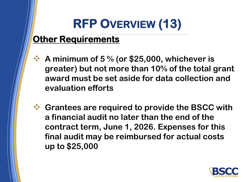# **RFP OVERVIEW (13)**

## **Other Requirements**

- ❖ **A minimum of 5 % (or \$25,000, whichever is greater) but not more than 10% of the total grant award must be set aside for data collection and evaluation efforts**
- ❖ **Grantees are required to provide the BSCC with a financial audit no later than the end of the contract term, June 1, 2026. Expenses for this final audit may be reimbursed for actual costs up to \$25,000**

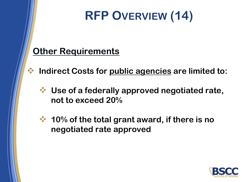# **RFP OVERVIEW (14)**

#### **Other Requirements**

- ❖ **Indirect Costs for public agencies are limited to:**
	- ❖ **Use of a federally approved negotiated rate, not to exceed 20%**
	- ❖ **10% of the total grant award, if there is no negotiated rate approved**

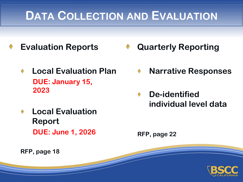## **DATA COLLECTION AND EVALUATION**

- **Evaluation Reports**
	- **Local Evaluation Plan**   $\blacklozenge$ **DUE: January 15, 2023**
	- **Local Evaluation Report DUE: June 1, 2026**
- **Quarterly Reporting**
	- **Narrative Responses**
	- **De-identified individual level data**

**RFP, page 22**

**RFP, page 18**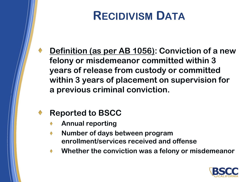## **RECIDIVISM DATA**

**Definition (as per AB 1056): Conviction of a new felony or misdemeanor committed within 3 years of release from custody or committed within 3 years of placement on supervision for a previous criminal conviction.**

#### **Reported to BSCC**

- **Annual reporting**
- **Number of days between program enrollment/services received and offense**
- **Whether the conviction was a felony or misdemeanor** $\blacklozenge$

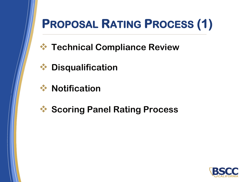

# **PROPOSAL RATING PROCESS (1)**

- ❖ **Technical Compliance Review**
- ❖ **Disqualification**
- ❖ **Notification**
- ❖ **Scoring Panel Rating Process**

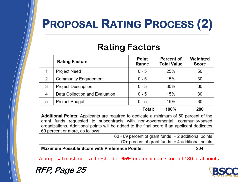# **PROPOSAL RATING PROCESS (2)**

#### **Rating Factors**

|   | <b>Rating Factors</b>          | Point<br>Range | Percent of<br><b>Total Value</b> | Weighted<br><b>Score</b> |
|---|--------------------------------|----------------|----------------------------------|--------------------------|
| 1 | <b>Project Need</b>            | $0 - 5$        | 25%                              | 50                       |
| 2 | <b>Community Engagement</b>    | $0 - 5$        | 15%                              | 30                       |
| 3 | <b>Project Description</b>     | $0 - 5$        | 30%                              | 60                       |
| 4 | Data Collection and Evaluation | $0 - 5$        | 15%                              | 30                       |
| 5 | Project Budget                 | $0 - 5$        | 15%                              | 30                       |
|   |                                | Total:         | 100%                             | 200                      |

**Additional Points:** Applicants are required to dedicate a minimum of 50 percent of the grant funds requested to subcontracts with non-governmental, community-based organizations. Additional points will be added to the final score if an applicant dedicates 60 percent or more, as follows:

| $70+$ percent of grant funds = 4 additional points     |  |
|--------------------------------------------------------|--|
| $60 - 69$ percent of grant funds = 2 additional points |  |

**Maximum Possible Score with Preference Points:** 

204

A proposal must meet a threshold of **65%** or a minimum score of **130** total points

**RFP, Page 25**

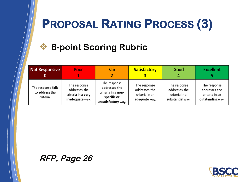## **PROPOSAL RATING PROCESS (3)**

## ❖ **6-point Scoring Rubric**

| <b>Not Responsive</b>                             | Poor                                                                   | Fair                                                                                      | <b>Satisfactory</b>                                              | Good                                                               | <b>Excellent</b>                                                    |
|---------------------------------------------------|------------------------------------------------------------------------|-------------------------------------------------------------------------------------------|------------------------------------------------------------------|--------------------------------------------------------------------|---------------------------------------------------------------------|
| The response fails<br>to address the<br>criteria. | The response<br>addresses the<br>criteria in a very<br>inadequate way. | The response<br>addresses the<br>criteria in a non-<br>specific or<br>unsatisfactory way. | The response<br>addresses the<br>criteria in an<br>adequate way. | The response<br>addresses the<br>criteria in a<br>substantial way. | The response<br>addresses the<br>criteria in an<br>outstanding way. |

#### **RFP, Page 26**

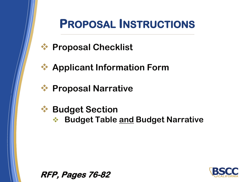

## **PROPOSAL INSTRUCTIONS**

- ❖ **Proposal Checklist**
- ❖ **Applicant Information Form**
- ❖ **Proposal Narrative**
- ❖ **Budget Section**
	- ❖ **Budget Table and Budget Narrative**

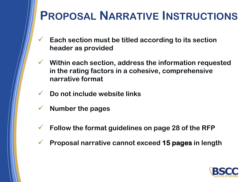## **PROPOSAL NARRATIVE INSTRUCTIONS**

- ✓ **Each section must be titled according to its section header as provided**
- ✓ **Within each section, address the information requested in the rating factors in a cohesive, comprehensive narrative format**
- ✓ **Do not include website links**
- ✓ **Number the pages**
- ✓ **Follow the format guidelines on page 28 of the RFP**
- ✓ **Proposal narrative cannot exceed 15 pages in length**

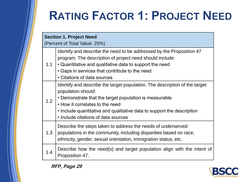# **RATING FACTOR 1: PROJECT NEED**

| <b>Section 1. Project Need</b> |                                                                                                                                                                                                                                                                                                                |  |  |  |
|--------------------------------|----------------------------------------------------------------------------------------------------------------------------------------------------------------------------------------------------------------------------------------------------------------------------------------------------------------|--|--|--|
| (Percent of Total Value: 25%)  |                                                                                                                                                                                                                                                                                                                |  |  |  |
| 1.1                            | Identify and describe the need to be addressed by the Proposition 47<br>program. The description of project need should include:<br>• Quantitative and qualitative data to support the need<br>• Gaps in services that contribute to the need<br>• Citations of data sources                                   |  |  |  |
| 1.2                            | Identify and describe the target population. The description of the target<br>population should:<br>• Demonstrate that the target population is measurable<br>• How it correlates to the need<br>• Include quantitative and qualitative data to support the description<br>• Include citations of data sources |  |  |  |
| 1.3                            | Describe the steps taken to address the needs of underserved<br>populations in the community, including disparities based on race,<br>ethnicity, gender, sexual orientation, immigration status, etc.                                                                                                          |  |  |  |
| 1.4                            | Describe how the need(s) and target population align with the intent of<br>Proposition 47.                                                                                                                                                                                                                     |  |  |  |



**RFP, Page 29**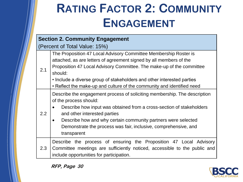# **RATING FACTOR 2: COMMUNITY ENGAGEMENT**

#### **Section 2. Community Engagement**

(Percent of Total Value: 15%)

| 2.1 | The Proposition 47 Local Advisory Committee Membership Roster is<br>attached, as are letters of agreement signed by all members of the<br>Proposition 47 Local Advisory Committee. The make-up of the committee<br>should:<br>• Include a diverse group of stakeholders and other interested parties<br>• Reflect the make-up and culture of the community and identified need |
|-----|--------------------------------------------------------------------------------------------------------------------------------------------------------------------------------------------------------------------------------------------------------------------------------------------------------------------------------------------------------------------------------|
| 2.2 | Describe the engagement process of soliciting membership. The description<br>of the process should:<br>Describe how input was obtained from a cross-section of stakeholders<br>and other interested parties<br>Describe how and why certain community partners were selected<br>Demonstrate the process was fair, inclusive, comprehensive, and<br>transparent                 |
| 2.3 | Describe the process of ensuring the Proposition 47 Local Advisory<br>Committee meetings are sufficiently noticed, accessible to the public and<br>include opportunities for participation.                                                                                                                                                                                    |



**RFP, Page 30**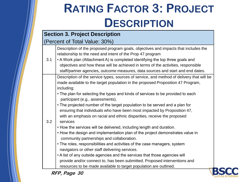# **RATING FACTOR 3: PROJECT DESCRIPTION**

#### **Section 3. Project Description**

#### (Percent of Total Value: 30%)

Description of the proposed program goals, objectives and impacts that includes the relationship to the need and intent of the Prop 47 program

3.1 • A Work plan (Attachment A) is completed identifying the top three goals and objectives and how these will be achieved in terms of the activities, responsible staff/partner agencies, outcome measures, data sources and start and end dates.

Description of the service types, sources of service, and method of delivery that will be made available to the target population in the proposed Proposition 47 Program, including:

- The plan for selecting the types and kinds of services to be provided to each participant (e.g., assessments).
- The projected number of the target population to be served and a plan for ensuring that individuals who have been most impacted by Proposition 47, with an emphasis on racial and ethnic disparities, receive the proposed

#### 3.2 services

- How the services will be delivered, including length and duration.
- How the design and implementation plan of the project demonstrates value in community partnerships and collaboration.
- The roles, responsibilities and activities of the case managers, system navigators or other staff delivering services.
- A list of any outside agencies and the services that those agencies will provide and/or connect to, has been submitted. Proposed interventions and resources to be made available to target population are outlined.

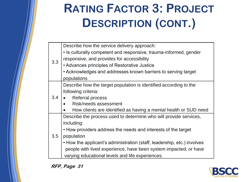# **RATING FACTOR 3: PROJECT DESCRIPTION (CONT.)**

|               | Describe how the service delivery approach:                             |
|---------------|-------------------------------------------------------------------------|
| 3.3           | • Is culturally competent and responsive, trauma-informed, gender       |
|               | responsive, and provides for accessibility                              |
|               | • Advances principles of Restorative Justice                            |
|               | • Acknowledges and addresses known barriers to serving target           |
|               | populations                                                             |
|               | Describe how the target population is identified according to the       |
|               | following criteria:                                                     |
| $3.4^{\circ}$ | <b>Referral process</b>                                                 |
|               | Risk/needs assessment                                                   |
|               | How clients are identified as having a mental health or SUD need        |
|               | Describe the process used to determine who will provide services,       |
|               | including:                                                              |
|               | • How providers address the needs and interests of the target           |
| 3.5           | population                                                              |
|               | • How the applicant's administration (staff, leadership, etc.) involves |
|               | people with lived experience, have been system impacted, or have        |
|               | varying educational levels and life experiences.                        |

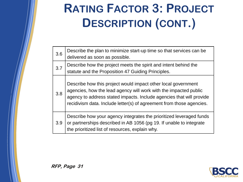# **RATING FACTOR 3: PROJECT DESCRIPTION (CONT.)**

| 3.6 | Describe the plan to minimize start-up time so that services can be<br>delivered as soon as possible.                                                                                                                                                                             |
|-----|-----------------------------------------------------------------------------------------------------------------------------------------------------------------------------------------------------------------------------------------------------------------------------------|
| 3.7 | Describe how the project meets the spirit and intent behind the<br>statute and the Proposition 47 Guiding Principles.                                                                                                                                                             |
| 3.8 | Describe how this project would impact other local government<br>agencies, how the lead agency will work with the impacted public<br>agency to address stated impacts. Include agencies that will provide<br>recidivism data. Include letter(s) of agreement from those agencies. |
| 3.9 | Describe how your agency integrates the prioritized leveraged funds<br>or partnerships described in AB 1056 (pg 19. If unable to integrate<br>the prioritized list of resources, explain why.                                                                                     |

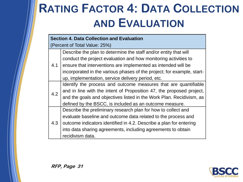# **RATING FACTOR 4: DATA COLLECTION AND EVALUATION**

|     | <b>Section 4. Data Collection and Evaluation</b>                       |  |  |
|-----|------------------------------------------------------------------------|--|--|
|     | (Percent of Total Value: 25%)                                          |  |  |
|     | Describe the plan to determine the staff and/or entity that will       |  |  |
|     | conduct the project evaluation and how monitoring activities to        |  |  |
| 4.1 | ensure that interventions are implemented as intended will be          |  |  |
|     | incorporated in the various phases of the project; for example, start- |  |  |
|     | up, implementation, service delivery period, etc.                      |  |  |
|     | Identify the process and outcome measures that are quantifiable        |  |  |
| 4.2 | and in line with the intent of Proposition 47, the proposed project,   |  |  |
|     | and the goals and objectives listed in the Work Plan. Recidivism, as   |  |  |
|     | defined by the BSCC, is included as an outcome measure.                |  |  |
|     | Describe the preliminary research plan for how to collect and          |  |  |
|     | evaluate baseline and outcome data related to the process and          |  |  |
| 4.3 | outcome indicators identified in 4.2. Describe a plan for entering     |  |  |
|     | into data sharing agreements, including agreements to obtain           |  |  |
|     | recidivism data.                                                       |  |  |

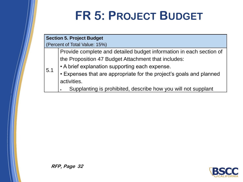# **FR 5: PROJECT BUDGET**

#### **Section 5. Project Budget**

5.1

(Percent of Total Value: 15%)

Provide complete and detailed budget information in each section of the Proposition 47 Budget Attachment that includes:

- A brief explanation supporting each expense.
- Expenses that are appropriate for the project's goals and planned activities.
	- Supplanting is prohibited, describe how you will not supplant

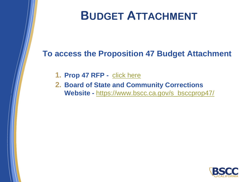

## **BUDGET ATTACHMENT**

#### **To access the Proposition 47 Budget Attachment**

- **1. Prop 47 RFP -** [click here](https://www.bscc.ca.gov/wp-content/uploads/Prop-47-Cohort-3-Budget-Attachment-Final.xlsx)
- **2. Board of State and Community Corrections Website -** [https://www.bscc.ca.gov/s\\_bsccprop47/](https://www.bscc.ca.gov/s_bsccprop47/)

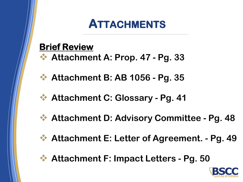## **ATTACHMENTS**

## **Brief Review**

- ❖ **Attachment A: Prop. 47 - Pg. 33**
- ❖ **Attachment B: AB 1056 - Pg. 35**
- ❖ **Attachment C: Glossary - Pg. 41**
- ❖ **Attachment D: Advisory Committee - Pg. 48**
- ❖ **Attachment E: Letter of Agreement. - Pg. 49**
- ❖ **Attachment F: Impact Letters - Pg. 50**

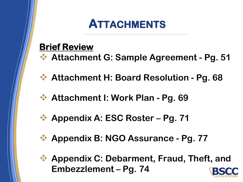## **ATTACHMENTS**

## **Brief Review**

- ❖ **Attachment G: Sample Agreement - Pg. 51**
- ❖ **Attachment H: Board Resolution - Pg. 68**
- ❖ **Attachment I: Work Plan - Pg. 69**
- **❖ Appendix A: ESC Roster Pg. 71**
- ❖ **Appendix B: NGO Assurance - Pg. 77**
- ❖ **Appendix C: Debarment, Fraud, Theft, and Embezzlement – Pg. 74**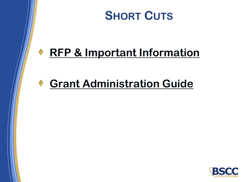

## **[RFP & Important Information](https://www.bscc.ca.gov/s_bsccprop47/)**

## **[Grant Administration Guide](https://www.bscc.ca.gov/wp-content/uploads/BSCC-Grant-Admin-Guide-July-2020-Final.pdf)**

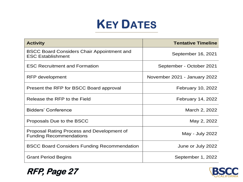## **KEY DATES**

| <b>Activity</b>                                                               | <b>Tentative Timeline</b>    |
|-------------------------------------------------------------------------------|------------------------------|
| <b>BSCC Board Considers Chair Appointment and</b><br><b>ESC Establishment</b> | September 16, 2021           |
| <b>ESC Recruitment and Formation</b>                                          | September - October 2021     |
| RFP development                                                               | November 2021 - January 2022 |
| Present the RFP for BSCC Board approval                                       | <b>February 10, 2022</b>     |
| Release the RFP to the Field                                                  | February 14, 2022            |
| <b>Bidders' Conference</b>                                                    | March 2, 2022                |
| Proposals Due to the BSCC                                                     | May 2, 2022                  |
| Proposal Rating Process and Development of<br><b>Funding Recommendations</b>  | May - July 2022              |
| <b>BSCC Board Considers Funding Recommendation</b>                            | June or July 2022            |
| <b>Grant Period Begins</b>                                                    | September 1, 2022            |



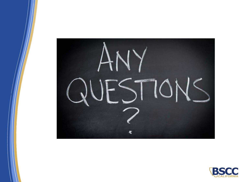